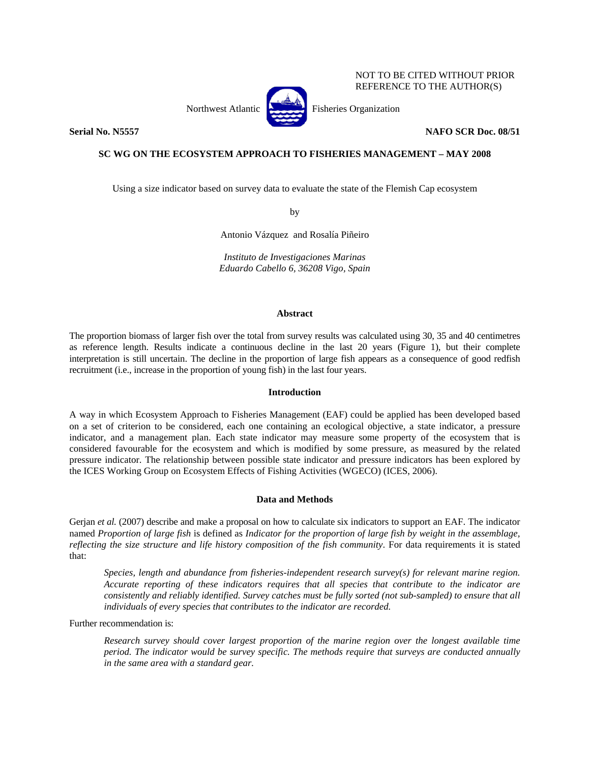Northwest Atlantic **Fisheries** Organization



NOT TO BE CITED WITHOUT PRIOR REFERENCE TO THE AUTHOR(S)

**Serial No. N5557 NAFO SCR Doc. 08/51** 

# **SC WG ON THE ECOSYSTEM APPROACH TO FISHERIES MANAGEMENT – MAY 2008**

Using a size indicator based on survey data to evaluate the state of the Flemish Cap ecosystem

by

Antonio Vázquez and Rosalía Piñeiro

*Instituto de Investigaciones Marinas Eduardo Cabello 6, 36208 Vigo, Spain* 

### **Abstract**

The proportion biomass of larger fish over the total from survey results was calculated using 30, 35 and 40 centimetres as reference length. Results indicate a continuous decline in the last 20 years (Figure 1), but their complete interpretation is still uncertain. The decline in the proportion of large fish appears as a consequence of good redfish recruitment (i.e., increase in the proportion of young fish) in the last four years.

## **Introduction**

A way in which Ecosystem Approach to Fisheries Management (EAF) could be applied has been developed based on a set of criterion to be considered, each one containing an ecological objective, a state indicator, a pressure indicator, and a management plan. Each state indicator may measure some property of the ecosystem that is considered favourable for the ecosystem and which is modified by some pressure, as measured by the related pressure indicator. The relationship between possible state indicator and pressure indicators has been explored by the ICES Working Group on Ecosystem Effects of Fishing Activities (WGECO) (ICES, 2006).

### **Data and Methods**

Gerjan *et al.* (2007) describe and make a proposal on how to calculate six indicators to support an EAF. The indicator named *Proportion of large fish* is defined as *Indicator for the proportion of large fish by weight in the assemblage, reflecting the size structure and life history composition of the fish community*. For data requirements it is stated that:

*Species, length and abundance from fisheries-independent research survey(s) for relevant marine region. Accurate reporting of these indicators requires that all species that contribute to the indicator are consistently and reliably identified. Survey catches must be fully sorted (not sub-sampled) to ensure that all individuals of every species that contributes to the indicator are recorded.* 

Further recommendation is:

*Research survey should cover largest proportion of the marine region over the longest available time period. The indicator would be survey specific. The methods require that surveys are conducted annually in the same area with a standard gear.*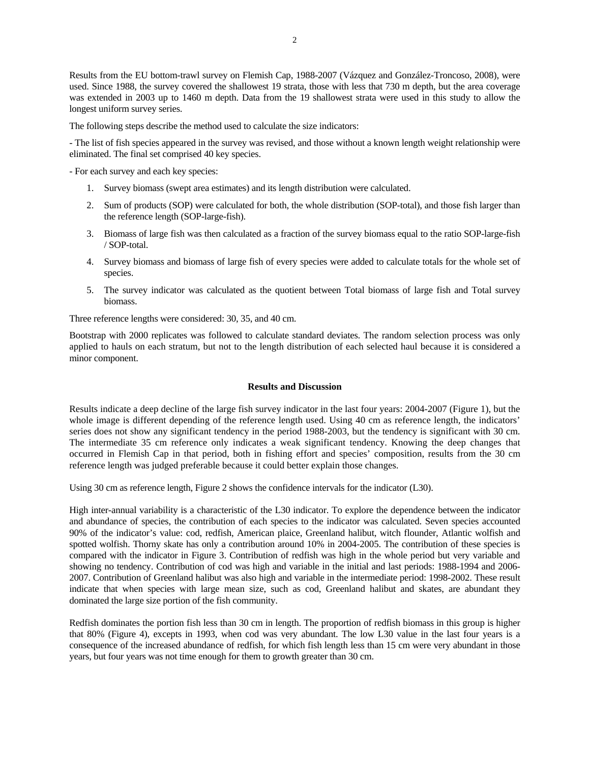Results from the EU bottom-trawl survey on Flemish Cap, 1988-2007 (Vázquez and González-Troncoso, 2008), were used. Since 1988, the survey covered the shallowest 19 strata, those with less that 730 m depth, but the area coverage was extended in 2003 up to 1460 m depth. Data from the 19 shallowest strata were used in this study to allow the longest uniform survey series.

The following steps describe the method used to calculate the size indicators:

- The list of fish species appeared in the survey was revised, and those without a known length weight relationship were eliminated. The final set comprised 40 key species.

- For each survey and each key species:

- 1. Survey biomass (swept area estimates) and its length distribution were calculated.
- 2. Sum of products (SOP) were calculated for both, the whole distribution (SOP-total), and those fish larger than the reference length (SOP-large-fish).
- 3. Biomass of large fish was then calculated as a fraction of the survey biomass equal to the ratio SOP-large-fish / SOP-total.
- 4. Survey biomass and biomass of large fish of every species were added to calculate totals for the whole set of species.
- 5. The survey indicator was calculated as the quotient between Total biomass of large fish and Total survey biomass.

Three reference lengths were considered: 30, 35, and 40 cm.

Bootstrap with 2000 replicates was followed to calculate standard deviates. The random selection process was only applied to hauls on each stratum, but not to the length distribution of each selected haul because it is considered a minor component.

# **Results and Discussion**

Results indicate a deep decline of the large fish survey indicator in the last four years: 2004-2007 (Figure 1), but the whole image is different depending of the reference length used. Using 40 cm as reference length, the indicators' series does not show any significant tendency in the period 1988-2003, but the tendency is significant with 30 cm. The intermediate 35 cm reference only indicates a weak significant tendency. Knowing the deep changes that occurred in Flemish Cap in that period, both in fishing effort and species' composition, results from the 30 cm reference length was judged preferable because it could better explain those changes.

Using 30 cm as reference length, Figure 2 shows the confidence intervals for the indicator (L30).

High inter-annual variability is a characteristic of the L30 indicator. To explore the dependence between the indicator and abundance of species, the contribution of each species to the indicator was calculated. Seven species accounted 90% of the indicator's value: cod, redfish, American plaice, Greenland halibut, witch flounder, Atlantic wolfish and spotted wolfish. Thorny skate has only a contribution around 10% in 2004-2005. The contribution of these species is compared with the indicator in Figure 3. Contribution of redfish was high in the whole period but very variable and showing no tendency. Contribution of cod was high and variable in the initial and last periods: 1988-1994 and 2006- 2007. Contribution of Greenland halibut was also high and variable in the intermediate period: 1998-2002. These result indicate that when species with large mean size, such as cod, Greenland halibut and skates, are abundant they dominated the large size portion of the fish community.

Redfish dominates the portion fish less than 30 cm in length. The proportion of redfish biomass in this group is higher that 80% (Figure 4), excepts in 1993, when cod was very abundant. The low L30 value in the last four years is a consequence of the increased abundance of redfish, for which fish length less than 15 cm were very abundant in those years, but four years was not time enough for them to growth greater than 30 cm.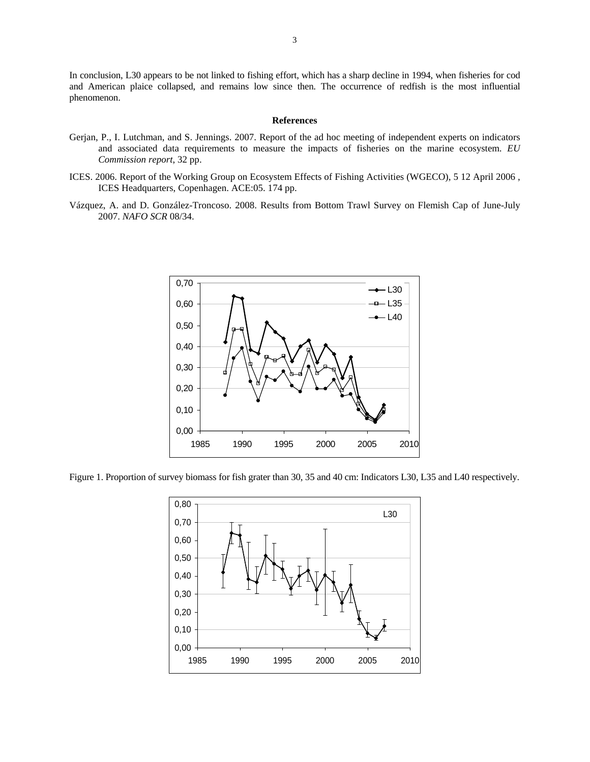In conclusion, L30 appears to be not linked to fishing effort, which has a sharp decline in 1994, when fisheries for cod and American plaice collapsed, and remains low since then. The occurrence of redfish is the most influential phenomenon.

#### **References**

- Gerjan, P., I. Lutchman, and S. Jennings. 2007. Report of the ad hoc meeting of independent experts on indicators and associated data requirements to measure the impacts of fisheries on the marine ecosystem. *EU Commission report*, 32 pp.
- ICES. 2006. Report of the Working Group on Ecosystem Effects of Fishing Activities (WGECO), 5 12 April 2006 , ICES Headquarters, Copenhagen. ACE:05. 174 pp.
- Vázquez, A. and D. González-Troncoso. 2008. Results from Bottom Trawl Survey on Flemish Cap of June-July 2007. *NAFO SCR* 08/34.



Figure 1. Proportion of survey biomass for fish grater than 30, 35 and 40 cm: Indicators L30, L35 and L40 respectively.

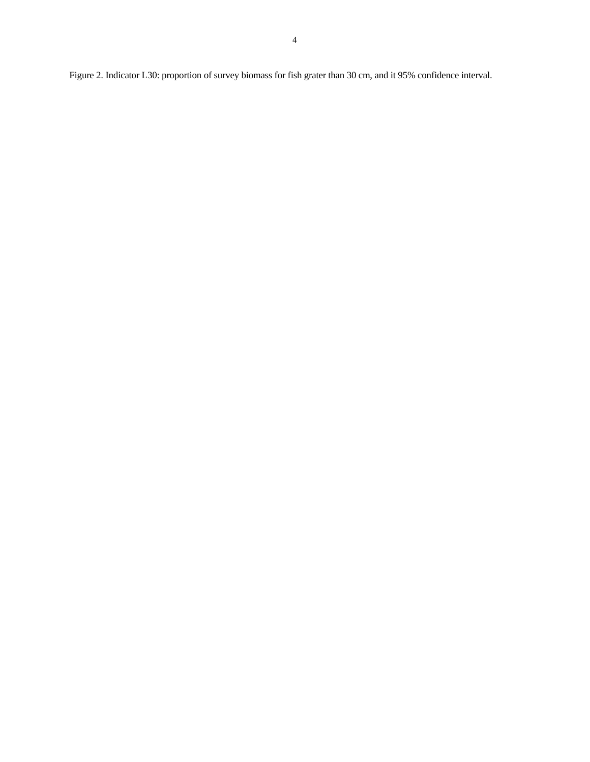Figure 2. Indicator L30: proportion of survey biomass for fish grater than 30 cm, and it 95% confidence interval.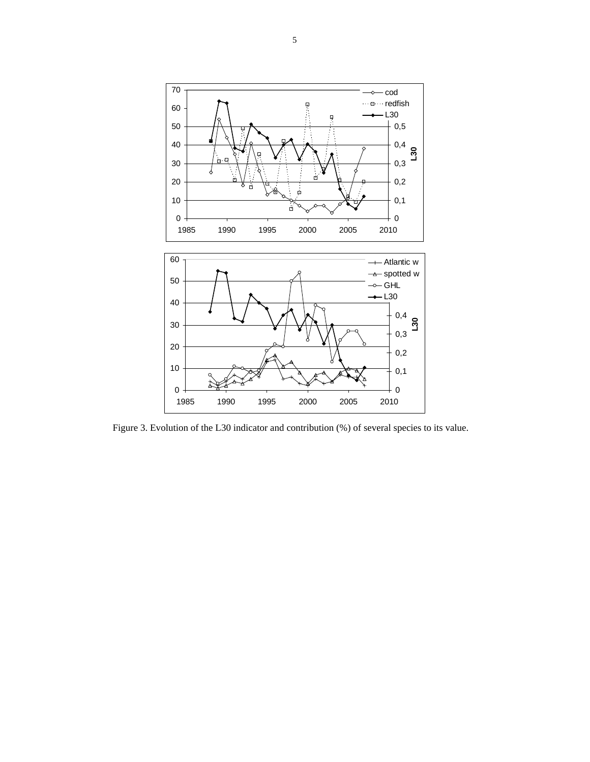

Figure 3. Evolution of the L30 indicator and contribution (%) of several species to its value.